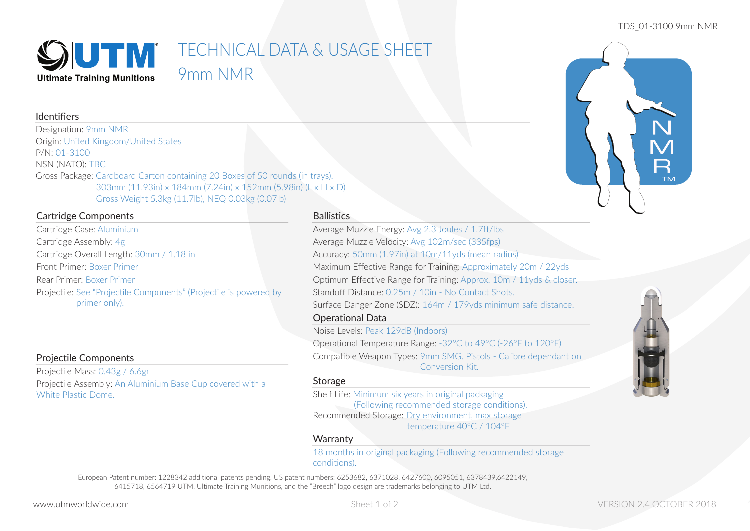## TDS\_01-3100 9mm NMR



# Identifiers

Designation: 9mm NMR Origin: United Kingdom/United States P/N: 01-3100 NSN (NATO): TBC Gross Package: Cardboard Carton containing 20 Boxes of 50 rounds (in trays). 303mm (11.93in) x 184mm (7.24in) x 152mm (5.98in) (L x H x D) Gross Weight 5.3kg (11.7lb), NEQ 0.03kg (0.07lb)

# Cartridge Components

Cartridge Case: Aluminium Cartridge Assembly: 4g Cartridge Overall Length: 30mm / 1.18 in Front Primer: Boxer Primer Rear Primer: Boxer Primer Projectile: See "Projectile Components" (Projectile is powered by primer only).

# Projectile Components

Projectile Mass: 0.43g / 6.6gr Projectile Assembly: An Aluminium Base Cup covered with a White Plastic Dome.

# **Ballistics**

Operational Data Average Muzzle Energy: Avg 2.3 Joules / 1.7ft/lbs Average Muzzle Velocity: Avg 102m/sec (335fps) Accuracy: 50mm (1.97in) at 10m/11yds (mean radius) Maximum Effective Range for Training: Approximately 20m / 22yds Optimum Effective Range for Training: Approx. 10m / 11yds & closer. Standoff Distance: 0.25m / 10in - No Contact Shots. Surface Danger Zone (SDZ): 164m / 179yds minimum safe distance.

# Noise Levels: Peak 129dB (Indoors)

Operational Temperature Range: -32°C to 49°C (-26°F to 120°F) Compatible Weapon Types: 9mm SMG. Pistols - Calibre dependant on Conversion Kit.

# Storage

Shelf Life: Minimum six years in original packaging (Following recommended storage conditions). Recommended Storage: Dry environment, max storage temperature 40°C / 104°F

# **Warranty**

18 months in original packaging (Following recommended storage conditions).

European Patent number: 1228342 additional patents pending. US patent numbers: 6253682, 6371028, 6427600, 6095051, 6378439,6422149, 6415718, 6564719 UTM, Ultimate Training Munitions, and the "Breech" logo design are trademarks belonging to UTM Ltd.